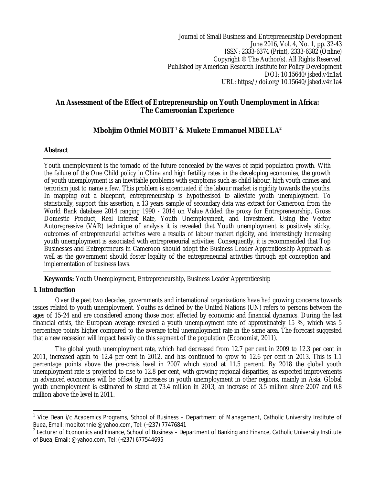Journal of Small Business and Entrepreneurship Development June 2016, Vol. 4, No. 1, pp. 32-43 ISSN: 2333-6374 (Print), 2333-6382 (Online) Copyright © The Author(s). All Rights Reserved. Published by American Research Institute for Policy Development DOI: 10.15640/jsbed.v4n1a4 URL: https://doi.org/10.15640/jsbed.v4n1a4

## **An Assessment of the Effect of Entrepreneurship on Youth Unemployment in Africa: The Cameroonian Experience**

# **Mbohjim Othniel MOBIT<sup>1</sup> & Mukete Emmanuel MBELLA<sup>2</sup>**

## **Abstract**

Youth unemployment is the tornado of the future concealed by the waves of rapid population growth. With the failure of the One Child policy in China and high fertility rates in the developing economies, the growth of youth unemployment is an inevitable problems with symptoms such as child labour, high youth crimes and terrorism just to name a few. This problem is accentuated if the labour market is rigidity towards the youths. In mapping out a blueprint, entrepreneurship is hypothesised to alleviate youth unemployment. To statistically, support this assertion, a 13 years sample of secondary data was extract for Cameroon from the World Bank database 2014 ranging 1990 - 2014 on Value Added the proxy for Entrepreneurship, Gross Domestic Product, Real Interest Rate, Youth Unemployment, and Investment. Using the Vector Autoregressive (VAR) technique of analysis it is revealed that Youth unemployment is positively sticky, outcomes of entrepreneurial activities were a results of labour market rigidity, and interestingly increasing youth unemployment is associated with entrepreneurial activities. Consequently, it is recommended that Top Businesses and Entrepreneurs in Cameroon should adopt the Business Leader Apprenticeship Approach as well as the government should foster legality of the entrepreneurial activities through apt conception and implementation of business laws.

**Keywords:** Youth Unemployment, Entrepreneurship, Business Leader Apprenticeship

## **1. Introduction**

 $\overline{a}$ 

Over the past two decades, governments and international organizations have had growing concerns towards issues related to youth unemployment. Youths as defined by the United Nations (UN) refers to persons between the ages of 15-24 and are considered among those most affected by economic and financial dynamics. During the last financial crisis, the European average revealed a youth unemployment rate of approximately 15 %, which was 5 percentage points higher compared to the average total unemployment rate in the same area. The forecast suggested that a new recession will impact heavily on this segment of the population (Economist, 2011).

The global youth unemployment rate, which had decreased from 12.7 per cent in 2009 to 12.3 per cent in 2011, increased again to 12.4 per cent in 2012, and has continued to grow to 12.6 per cent in 2013. This is 1.1 percentage points above the pre-crisis level in 2007 which stood at 11.5 percent. By 2018 the global youth unemployment rate is projected to rise to 12.8 per cent, with growing regional disparities, as expected improvements in advanced economies will be offset by increases in youth unemployment in other regions, mainly in Asia. Global youth unemployment is estimated to stand at 73.4 million in 2013, an increase of 3.5 million since 2007 and 0.8 million above the level in 2011.

<sup>&</sup>lt;sup>1</sup> Vice Dean i/c Academics Programs, School of Business – Department of Management, Catholic University Institute of Buea, Email: mobitothniel@yahoo.com, Tel: (+237) 77476841

 $2$  Lecturer of Economics and Finance, School of Business – Department of Banking and Finance, Catholic University Institute of Buea, Email: @yahoo.com, Tel: (+237) 677544695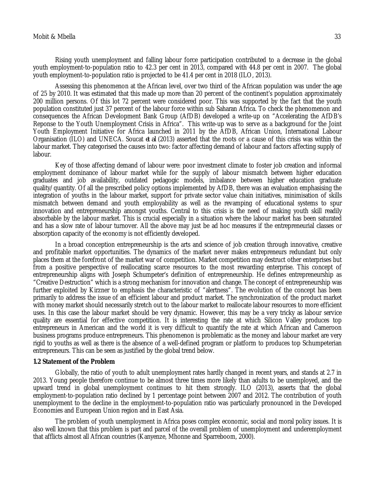Rising youth unemployment and falling labour force participation contributed to a decrease in the global youth employment-to-population ratio to 42.3 per cent in 2013, compared with 44.8 per cent in 2007. The global youth employment-to-population ratio is projected to be 41.4 per cent in 2018 (ILO, 2013).

Assessing this phenomenon at the African level, over two third of the African population was under the age of 25 by 2010. It was estimated that this made up more than 20 percent of the continent's population approximately 200 million persons. Of this lot 72 percent were considered poor. This was supported by the fact that the youth population constituted just 37 percent of the labour force within sub Saharan Africa. To check the phenomenon and consequences the African Development Bank Group (AfDB) developed a write-up on "Accelerating the AfDB's Reponse to the Youth Unemployment Crisis in Africa". This write-up was to serve as a background for the Joint Youth Employment Initiative for Africa launched in 2011 by the AfDB, African Union, International Labour Organisation (ILO) and UNECA. Soucat *et al* (2013) asserted that the roots or a cause of this crisis was within the labour market. They categorised the causes into two: factor affecting demand of labour and factors affecting supply of labour.

Key of those affecting demand of labour were: poor investment climate to foster job creation and informal employment dominance of labour market while for the supply of labour mismatch between higher education graduates and job availability, outdated pedagogic models, imbalance between higher education graduate quality/quantity. Of all the prescribed policy options implemented by AfDB, there was an evaluation emphasising the integration of youths in the labour market, support for private sector value chain initiatives, minimisation of skills mismatch between demand and youth employability as well as the revamping of educational systems to spur innovation and entrepreneurship amongst youths. Central to this crisis is the need of making youth skill readily absorbable by the labour market. This is crucial especially in a situation where the labour market has been saturated and has a slow rate of labour turnover. All the above may just be ad hoc measures if the entrepreneurial classes or absorption capacity of the economy is not efficiently developed.

In a broad conception entrepreneurship is the arts and science of job creation through innovative, creative and profitable market opportunities. The dynamics of the market never makes entrepreneurs redundant but only places them at the forefront of the market war of competition. Market competition may destruct other enterprises but from a positive perspective of reallocating scarce resources to the most rewarding enterprise. This concept of entrepreneurship aligns with Joseph Schumpeter's definition of entrepreneurship. He defines entrepreneurship as "Creative Destruction" which is a strong mechanism for innovation and change. The concept of entrepreneurship was further exploited by Kirzner to emphasis the characteristic of "alertness". The evolution of the concept has been primarily to address the issue of an efficient labour and product market. The synchronization of the product market with money market should necessarily stretch out to the labour market to reallocate labour resources to more efficient uses. In this case the labour market should be very dynamic. However, this may be a very tricky as labour service quality are essential for effective competition. It is interesting the rate at which Silicon Valley produces top entrepreneurs in American and the world it is very difficult to quantify the rate at which African and Cameroon business programs produce entrepreneurs. This phenomenon is problematic as the money and labour market are very rigid to youths as well as there is the absence of a well-defined program or platform to produces top Schumpeterian entrepreneurs. This can be seen as justified by the global trend below.

### **1.2 Statement of the Problem**

Globally, the ratio of youth to adult unemployment rates hardly changed in recent years, and stands at 2.7 in 2013. Young people therefore continue to be almost three times more likely than adults to be unemployed, and the upward trend in global unemployment continues to hit them strongly. ILO (2013), asserts that the global employment-to-population ratio declined by 1 percentage point between 2007 and 2012. The contribution of youth unemployment to the decline in the employment-to-population ratio was particularly pronounced in the Developed Economies and European Union region and in East Asia.

The problem of youth unemployment in Africa poses complex economic, social and moral policy issues. It is also well known that this problem is part and parcel of the overall problem of unemployment and underemployment that afflicts almost all African countries (Kanyenze, Mhonne and Sparreboom, 2000).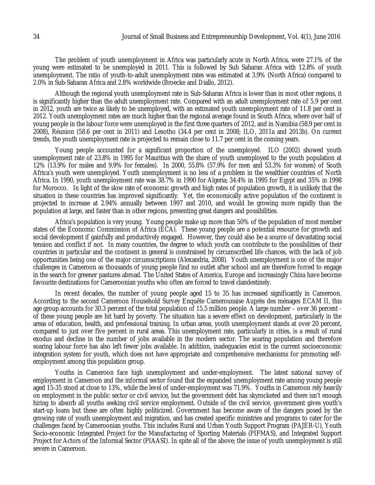The problem of youth unemployment in Africa was particularly acute in North Africa, were 27.1% of the young were estimated to be unemployed in 2011. This is followed by Sub Saharan Africa with 12.8% of youth unemployment. The ratio of youth-to-adult unemployment rates was estimated at 3.9% (North Africa) compared to 2.0% in Sub-Saharan Africa and 2.8% worldwide (Broecke and Diallo, 2012).

Although the regional youth unemployment rate in Sub-Saharan Africa is lower than in most other regions, it is significantly higher than the adult unemployment rate. Compared with an adult unemployment rate of 5.9 per cent in 2012, youth are twice as likely to be unemployed, with an estimated youth unemployment rate of 11.8 per cent in 2012. Youth unemployment rates are much higher than the regional average found in South Africa, where over half of young people in the labour force were unemployed in the first three quarters of 2012, and in Namibia (58.9 per cent in 2008), Réunion (58.6 per cent in 2011) and Lesotho (34.4 per cent in 2008; ILO, 2011a and 2013b). On current trends, the youth unemployment rate is projected to remain close to 11.7 per cent in the coming years.

Young people accounted for a significant proportion of the unemployed. ILO (2002) showed youth unemployment rate of 23.8% in 1995 for Mauritius with the share of youth unemployed to the youth population at 12% (13.9% for males and 9.9% for females). In 2000, 55.8% (57.9% for men and 53.3% for women) of South Africa's youth were unemployed. Youth unemployment is no less of a problem in the wealthier countries of North Africa. In 1990, youth unemployment rate was 38.7% in 1990 for Algeria; 34.4% in 1995 for Egypt and 35% in 1998 for Morocco. In light of the slow rate of economic growth and high rates of population growth, it is unlikely that the situation in these countries has improved significantly. Yet, the economically active population of the continent is projected to increase at 2.94% annually between 1997 and 2010, and would be growing more rapidly than the population at large, and faster than in other regions, presenting great dangers and possibilities.

Africa's population is very young. Young people make up more than 50% of the population of most member states of the Economic Commission of Africa (ECA). These young people are a potential resource for growth and social development if gainfully and productively engaged. However, they could also be a source of devastating social tension and conflict if not. In many countries, the degree to which youth can contribute to the possibilities of their countries in particular and the continent in general is constrained by circumscribed life chances, with the lack of job opportunities being one of the major circumscriptions (Alexandria, 2008). Youth unemployment is one of the major challenges in Cameroon as thousands of young people find no outlet after school and are therefore forced to engage in the search for greener pastures abroad. The United States of America, Europe and increasingly China have become favourite destinations for Cameroonian youths who often are forced to travel clandestinely.

In recent decades, the number of young people aged 15 to 35 has increased significantly in Cameroon. According to the second Cameroon Household Survey Enquête Camerounaise Auprès des ménages ECAM II, this age group accounts for 30.3 percent of the total population of 15.5 million people. A large number – over 36 percent of these young people are hit hard by poverty. The situation has a severe effect on development, particularly in the areas of education, health, and professional training. In urban areas, youth unemployment stands at over 20 percent, compared to just over five percent in rural areas. This unemployment rate, particularly in cities, is a result of rural exodus and decline in the number of jobs available in the modern sector. The soaring population and therefore soaring labour force has also left fewer jobs available. In addition, inadequacies exist in the current socioeconomic integration system for youth, which does not have appropriate and comprehensive mechanisms for promoting selfemployment among this population group.

Youths in Cameroon face high unemployment and under-employment. The latest national survey of employment in Cameroon and the informal sector found that the expanded unemployment rate among young people aged 15-35 stood at close to 13%, while the level of under-employment was 71.9%. Youths in Cameroon rely heavily on employment in the public sector or civil service, but the government debt has skyrocketed and there isn't enough hiring to absorb all youths seeking civil service employment. Outside of the civil service, government gives youth's start-up loans but these are often highly politicized. Government has become aware of the dangers posed by the growing rate of youth unemployment and migration, and has created specific ministries and programs to cater for the challenges faced by Cameroonian youths. This includes Rural and Urban Youth Support Program (PAJER-U), Youth Socio-economic Integrated Project for the Manufacturing of Sporting Materials (PIFMAS), and Integrated Support Project for Actors of the Informal Sector (PIAASI). In spite all of the above; the issue of youth unemployment is still severe in Cameroon.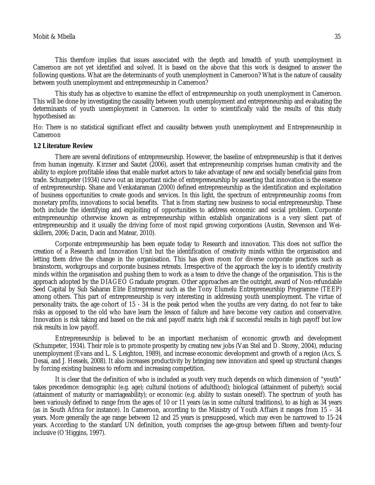This therefore implies that issues associated with the depth and breadth of youth unemployment in Cameroon are not yet identified and solved. It is based on the above that this work is designed to answer the following questions. What are the determinants of youth unemployment in Cameroon? What is the nature of causality between youth unemployment and entrepreneurship in Cameroon?

This study has as objective to examine the effect of entrepreneurship on youth unemployment in Cameroon. This will be done by investigating the causality between youth unemployment and entrepreneurship and evaluating the determinants of youth unemployment in Cameroon. In order to scientifically valid the results of this study hypothesised as:

Ho: There is no statistical significant effect and causality between youth unemployment and Entrepreneurship in Cameroon

### **1.2 Literature Review**

There are several definitions of entrepreneurship. However, the baseline of entrepreneurship is that it derives from human ingenuity. Kirzner and Sautet (2006), assert that entrepreneurship comprises human creativity and the ability to explore profitable ideas that enable market actors to take advantage of new and socially beneficial gains from trade. Schumpeter (1934) curve out an important niche of entrepreneurship by asserting that innovation is the essence of entrepreneurship. Shane and Venkataraman (2000) defined entrepreneurship as the identification and exploitation of business opportunities to create goods and services. In this light, the spectrum of entrepreneurship zooms from monetary profits, innovations to social benefits. That is from starting new business to social entrepreneurship. These both include the identifying and exploiting of opportunities to address economic and social problem. Corporate entrepreneurship otherwise known as entrepreneurship within establish organizations is a very silent part of entrepreneurship and it usually the driving force of most rapid growing corporations (Austin, Stevenson and Weiskillern, 2006; Dacin, Dacin and Matear, 2010).

Corporate entrepreneurship has been equate today to Research and innovation. This does not suffice the creation of a Research and Innovation Unit but the identification of creativity minds within the organisation and letting them drive the change in the organisation. This has given room for diverse corporate practices such as brainstorm, workgroups and corporate business retreats. Irrespective of the approach the key is to identify creativity minds within the organisation and pushing them to work as a team to drive the change of the organisation. This is the approach adopted by the DIAGEO Graduate program. Other approaches are the outright, award of Non-refundable Seed Capital by Sub Saharan Elite Entrepreneur such as the Tony Elumelu Entrepreneurship Programme (TEEP) among others. This part of entrepreneurship is very interesting in addressing youth unemployment. The virtue of personality traits, the age cohort of 15 - 34 is the peak period when the youths are very daring, do not fear to take risks as opposed to the old who have learn the lesson of failure and have become very caution and conservative. Innovation is risk taking and based on the risk and payoff matrix high risk if successful results in high payoff but low risk results in low payoff.

Entrepreneurship is believed to be an important mechanism of economic growth and development (Schumpeter, 1934). Their role is to promote prosperity by creating new jobs (Van Stel and D. Storey, 2004), reducing unemployment (Evans and L. S. Leighton, 1989), and increase economic development and growth of a region (Acs, S. Desai, and J. Hessels, 2008). It also increases productivity by bringing new innovation and speed up structural changes by forcing existing business to reform and increasing competition.

It is clear that the definition of who is included as youth very much depends on which dimension of "youth" takes precedence: demographic (e.g. age); cultural (notions of adulthood); biological (attainment of puberty); social (attainment of maturity or marriageability); or economic (e.g. ability to sustain oneself). The spectrum of youth has been variously defined to range from the ages of 10 or 11 years (as in some cultural traditions), to as high as 34 years (as in South Africa for instance). In Cameroon, according to the Ministry of Youth Affairs it ranges from 15 – 34 years. More generally the age range between 12 and 25 years is presupposed, which may even be narrowed to 15-24 years. According to the standard UN definition, youth comprises the age-group between fifteen and twenty-four inclusive (O'Higgins, 1997).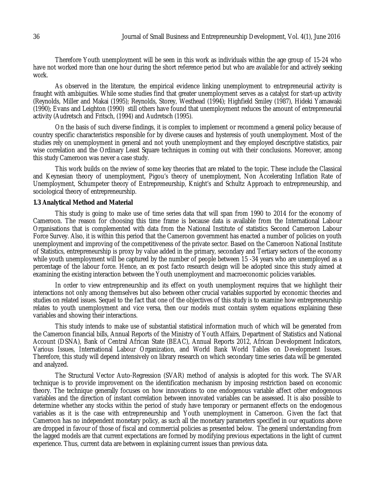Therefore Youth unemployment will be seen in this work as individuals within the age group of 15-24 who have not worked more than one hour during the short reference period but who are available for and actively seeking work.

As observed in the literature, the empirical evidence linking unemployment to entrepreneurial activity is fraught with ambiguities. While some studies find that greater unemployment serves as a catalyst for start-up activity (Reynolds, Miller and Makai (1995); Reynolds, Storey, Westhead (1994); Highfield Smiley (1987), Hideki Yamawaki (1990); Evans and Leighton (1990) still others have found that unemployment reduces the amount of entrepreneurial activity (Audretsch and Fritsch, (1994) and Audretsch (1995).

On the basis of such diverse findings, it is complex to implement or recommend a general policy because of country specific characteristics responsible for by diverse causes and hysteresis of youth unemployment. Most of the studies rely on unemployment in general and not youth unemployment and they employed descriptive statistics, pair wise correlation and the Ordinary Least Square techniques in coming out with their conclusions. Moreover, among this study Cameroon was never a case study.

This work builds on the review of some key theories that are related to the topic. These include the Classical and Keynesian theory of unemployment, Pigou's theory of unemployment, Non Accelerating Inflation Rate of Unemployment, Schumpeter theory of Entrepreneurship, Knight's and Schultz Approach to entrepreneurship, and sociological theory of entrepreneurship.

### **1.3 Analytical Method and Material**

This study is going to make use of time series data that will span from 1990 to 2014 for the economy of Cameroon. The reason for choosing this time frame is because data is available from the International Labour Organisations that is complemented with data from the National Institute of statistics Second Cameroon Labour Force Survey. Also, it is within this period that the Cameroon government has enacted a number of policies on youth unemployment and improving of the competitiveness of the private sector. Based on the Cameroon National Institute of Statistics, entrepreneurship is proxy by value added in the primary, secondary and Tertiary sectors of the economy while youth unemployment will be captured by the number of people between 15 -34 years who are unemployed as a percentage of the labour force. Hence, an ex post facto research design will be adopted since this study aimed at examining the existing interaction between the Youth unemployment and macroeconomic policies variables.

In order to view entrepreneurship and its effect on youth unemployment requires that we highlight their interactions not only among themselves but also between other crucial variables supported by economic theories and studies on related issues. Sequel to the fact that one of the objectives of this study is to examine how entrepreneurship relates to youth unemployment and vice versa, then our models must contain system equations explaining these variables and showing their interactions.

This study intends to make use of substantial statistical information much of which will be generated from the Cameroon financial bills, Annual Reports of the Ministry of Youth Affairs, Department of Statistics and National Account (DSNA), Bank of Central African State (BEAC), Annual Reports 2012, African Development Indicators, Various Issues, International Labour Organization, and World Bank World Tables on Development Issues. Therefore, this study will depend intensively on library research on which secondary time series data will be generated and analyzed.

The Structural Vector Auto-Regression (SVAR) method of analysis is adopted for this work. The SVAR technique is to provide improvement on the identification mechanism by imposing restriction based on economic theory. The technique generally focuses on how innovations to one endogenous variable affect other endogenous variables and the direction of instant correlation between innovated variables can be assessed. It is also possible to determine whether any stocks within the period of study have temporary or permanent effects on the endogenous variables as it is the case with entrepreneurship and Youth unemployment in Cameroon. Given the fact that Cameroon has no independent monetary policy, as such all the monetary parameters specified in our equations above are dropped in favour of those of fiscal and commercial policies as presented below. The general understanding from the lagged models are that current expectations are formed by modifying previous expectations in the light of current experience. Thus, current data are between in explaining current issues than previous data.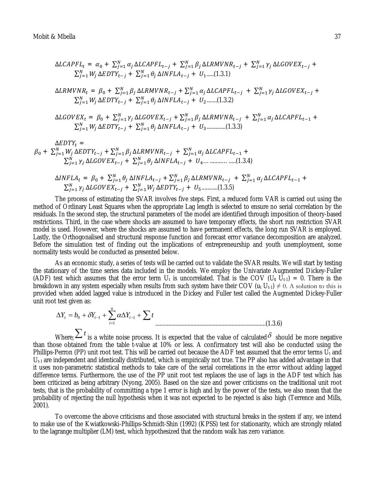$$
\Delta LCAPFL_t = \alpha_0 + \sum_{j=1}^{N} \alpha_j \Delta LCAPFL_{t-j} + \sum_{j=1}^{N} \beta_j \Delta LRMVNR_{t-j} + \sum_{j=1}^{N} \gamma_j \Delta LGOVEX_{t-j} + \sum_{j=1}^{N} W_j \Delta EDTY_{t-j} + \sum_{j=1}^{N} \theta_j \Delta INFLA_{t-j} + U_1 \dots (1.3.1)
$$

$$
\Delta LRMVNR_t = \beta_0 + \sum_{j=1}^{N} \beta_j \Delta LRMVNR_{t-j} + \sum_{j=1}^{N} \alpha_j \Delta LCAPFL_{t-j} + \sum_{j=1}^{N} \gamma_j \Delta LGOVEX_{t-j} + \sum_{j=1}^{N} W_j \Delta EDTY_{t-j} + \sum_{j=1}^{N} \theta_j \Delta INFLA_{t-j} + U_2 \quad (1.3.2)
$$

$$
\Delta LGOVEX_t = \beta_0 + \sum_{j=1}^{N} \gamma_j \Delta LGOVEX_{t-j} + \sum_{j=1}^{N} \beta_j \Delta LRMVNR_{t-j} + \sum_{j=1}^{N} \alpha_j \Delta LCAPFL_{t-1} + \sum_{j=1}^{N} W_j \Delta EDTY_{t-j} + \sum_{j=1}^{N} \theta_j \Delta INFLA_{t-j} + U_3 \dots \dots \dots \dots (1.3.3)
$$

$$
\Delta EDTY_t =
$$
\n
$$
\beta_0 + \sum_{j=1}^{N} W_j \Delta EDTY_{t-j} + \sum_{j=1}^{N} \beta_j \Delta LRMVNR_{t-j} + \sum_{j=1}^{N} \alpha_j \Delta LCAPFL_{t-1} +
$$
\n
$$
\sum_{j=1}^{N} \gamma_j \Delta LGOVEX_{t-j} + \sum_{j=1}^{N} \theta_j \Delta INFLA_{t-j} + U_4 \dots \dots \dots \dots \dots \dots \tag{1.3.4}
$$

$$
\Delta INFLA_t = \beta_0 + \sum_{j=1}^{N} \theta_j \Delta INFLA_{t-j} + \sum_{j=1}^{N} \beta_j \Delta LRMVNR_{t-j} + \sum_{j=1}^{N} \alpha_j \Delta LCAPFL_{t-1} + \sum_{j=1}^{N} \gamma_j \Delta LGOVEX_{t-j} + \sum_{j=1}^{N} W_j \Delta EDTY_{t-j} + U_5 \dots \dots \dots \dots (1.3.5)
$$

The process of estimating the SVAR involves five steps. First, a reduced form VAR is carried out using the method of Ordinary Least Squares when the appropriate Lag length is selected to ensure no serial correlation by the residuals. In the second step, the structural parameters of the model are identified through imposition of theory-based restrictions. Third, in the case where shocks are assumed to have temporary effects, the short run restriction SVAR model is used. However, where the shocks are assumed to have permanent effects, the long run SVAR is employed. Lastly, the Orthogonalised and structural response function and forecast error variance decomposition are analyzed. Before the simulation test of finding out the implications of entrepreneurship and youth unemployment, some normality tests would be conducted as presented below.

As an economic study, a series of tests will be carried out to validate the SVAR results. We will start by testing the stationary of the time series data included in the models. We employ the Univariate Augmented Dickey-Fuller (ADF) test which assumes that the error term  $U_t$  is uncorrelated. That is the COV ( $U_t$   $U_{t-1}$ ) = 0. There is the breakdown in any system especially when results from such system have their COV ( $u_t U_{t-1} \neq 0$ . A solution to this is provided when added lagged value is introduced in the Dickey and Fuller test called the Augmented Dickey-Fuller unit root test given as:

$$
\Delta Y_t = b_0 + \delta Y_{t-1} + \sum_{i=1}^n \alpha \Delta Y_{t-1} + \sum t
$$
\n(1.3.6)

Where; $\sum t$  is a white noise process. It is expected that the value of calculated  $\delta$  should be more negative than those obtained from the table t-value at 10% or less. A confirmatory test will also be conducted using the Phillips-Perron (PP) unit root test. This will be carried out because the ADF test assumed that the error terms  $U_t$  and  $U_{t-1}$  are independent and identically distributed, which is empirically not true. The PP also has added advantage in that it uses non-parametric statistical methods to take care of the serial correlations in the error without adding lagged difference terms. Furthermore, the use of the PP unit root test replaces the use of lags in the ADF test which has been criticized as being arbitrary (Nyong, 2005). Based on the size and power criticisms on the traditional unit root tests, that is the probability of committing a type 1 error is high and by the power of the tests, we also mean that the probability of rejecting the null hypothesis when it was not expected to be rejected is also high (Terrence and Mills, 2001).

To overcome the above criticisms and those associated with structural breaks in the system if any, we intend to make use of the Kwiatkowski-Phillips-Schmidt-Shin (1992) (KPSS) test for stationarity, which are strongly related to the lagrange multiplier (LM) test, which hypothesized that the random walk has zero variance.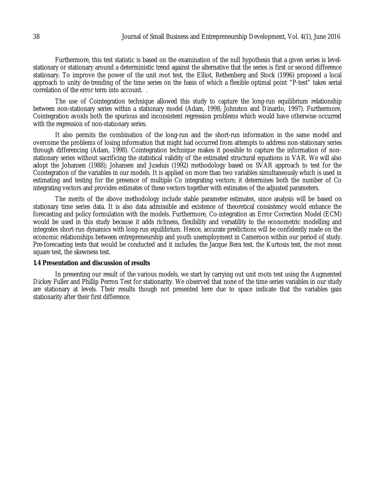Furthermore, this test statistic is based on the examination of the null hypothesis that a given series is levelstationary or stationary around a deterministic trend against the alternative that the series is first or second difference stationary. To improve the power of the unit root test, the Elliot, Rethenberg and Stock (1996) proposed a local approach to unity de-trending of the time series on the basis of which a flexible optimal point "P-test" takes serial correlation of the error term into account. .

The use of Cointegration technique allowed this study to capture the long-run equilibrium relationship between non-stationary series within a stationary model (Adam, 1998; Johnston and Dinardo, 1997). Furthermore, Cointegration avoids both the spurious and inconsistent regression problems which would have otherwise occurred with the regression of non-stationary series.

It also permits the combination of the long-run and the short-run information in the same model and overcome the problems of losing information that might had occurred from attempts to address non-stationary series through differencing (Adam, 1998). Cointegration technique makes it possible to capture the information of nonstationary series without sacrificing the statistical validity of the estimated structural equations in VAR. We will also adopt the Johansen (1988); Johansen and Juseluis (1992) methodology based on SVAR approach to test for the Cointegration of the variables in our models. It is applied on more than two variables simultaneously which is used in estimating and testing for the presence of multiple Co integrating vectors; it determines both the number of Co integrating vectors and provides estimates of these vectors together with estimates of the adjusted parameters.

The merits of the above methodology include stable parameter estimates, since analysis will be based on stationary time series data. It is also data admissible and existence of theoretical consistency would enhance the forecasting and policy formulation with the models. Furthermore, Co-integration an Error Correction Model (ECM) would be used in this study because it adds richness, flexibility and versatility to the econometric modelling and integrates short-run dynamics with long-run equilibrium. Hence, accurate predictions will be confidently made on the economic relationships between entrepreneurship and youth unemployment in Cameroon within our period of study. Pre-forecasting tests that would be conducted and it includes; the Jacque Bera test, the Kurtosis test, the root mean square test, the skewness test.

### **1.4 Presentation and discussion of results**

In presenting our result of the various models, we start by carrying out unit roots test using the Augmented Dickey Fuller and Phillip Perron Test for stationarity. We observed that none of the time series variables in our study are stationary at levels. Their results though not presented here due to space indicate that the variables gain stationarity after their first difference.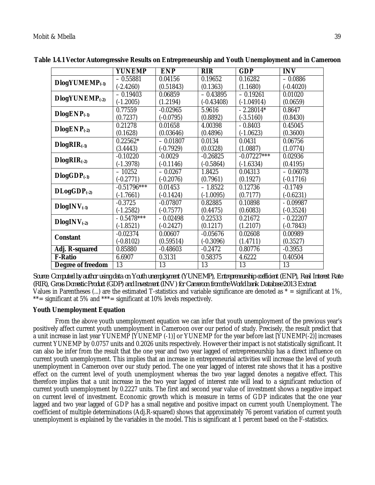|                            | <b>YUNEMP</b> | <b>ENP</b>  | <b>RIR</b>   | <b>GDP</b>    | <b>INV</b>  |
|----------------------------|---------------|-------------|--------------|---------------|-------------|
| DlogYUMEMP <sub>(-1)</sub> | $-0.55881$    | 0.04156     | 0.19652      | 0.16282       | $-0.0886$   |
|                            | $(-2.4260)$   | (0.51843)   | (0.1363)     | (1.1680)      | $(-0.4020)$ |
| $DlogYUNEMP(-2)$           | $-0.19403$    | 0.06859     | $-0.43895$   | $-0.19261$    | 0.01020     |
|                            | $(-1.2005)$   | (1.2194)    | $(-0.43408)$ | $(-1.04914)$  | (0.0659)    |
| $DlogEMP_{(1)}$            | 0.77559       | $-0.02965$  | 5.9616       | $-2.28014*$   | 0.8647      |
|                            | (0.7237)      | $(-0.0795)$ | (0.8892)     | $(-3.5160)$   | (0.8430)    |
| $DlogEMP(-2)$              | 0.21278       | 0.01658     | 4.00398      | $-0.8403$     | 0.45045     |
|                            | (0.1628)      | (0.03646)   | (0.4896)     | $(-1.0623)$   | (0.3600)    |
| $DlogRIR_{(-1)}$           | $0.22562*$    | $-0.01807$  | 0.0134       | 0.0431        | 0.06756     |
|                            | (3.4443)      | $(-0.7929)$ | (0.0328)     | (1.0887)      | (1.0774)    |
| $DlogRIR_{(2)}$            | $-0.10220$    | $-0.0029$   | $-0.26825$   | $-0.07227***$ | 0.02936     |
|                            | $(-1.3978)$   | $(-0.1146)$ | $(-0.5864)$  | $(-1.6334)$   | (0.4195)    |
| $DlogGDP_{(-1)}$           | $-10252$      | $-0.0267$   | 1.8425       | 0.04313       | $-0.06078$  |
|                            | $(-0.2771)$   | $(-0.2076)$ | (0.7961)     | (0.1927)      | $(-0.1716)$ |
| $DLogGDP_{(-2)}$           | $-0.51796***$ | 0.01453     | $-1.8522$    | 0.12736       | $-0.1749$   |
|                            | $(-1.7661)$   | $(-0.1424)$ | $(-1.0095)$  | (0.7177)      | $(-0.6231)$ |
| $DlogINV_{(-1)}$           | $-0.3725$     | $-0.07807$  | 0.82885      | 0.10898       | $-0.09987$  |
|                            | $(-1.2582)$   | $(-0.7577)$ | (0.4475)     | (0.6083)      | $(-0.3524)$ |
| $DlogINV_{(-2)}$           | $-0.5478***$  | $-0.02498$  | 0.22533      | 0.21672       | $-0.22207$  |
|                            | $(-1.8521)$   | $(-0.2427)$ | (0.1217)     | (1.2107)      | $(-0.7843)$ |
| <b>Constant</b>            | $-0.02374$    | 0.00607     | $-0.05676$   | 0.02608       | 0.00989     |
|                            | $(-0.8102)$   | (0.59514)   | $(-0.3096)$  | (1.4711)      | (0.3527)    |
| Adj. R-squared             | 0.85880       | $-0.48603$  | $-0.2472$    | 0.80776       | $-0.3953$   |
| <b>F-Ratio</b>             | 6.6907        | 0.3131      | 0.58375      | 4.6222        | 0.40504     |
| Degree of freedom          | 13            | 13          | 13           | 13            | 13          |

**Table 1.4.1 Vector Autoregressive Results on Entrepreneurship and Youth Unemployment and in Cameroon**

*Source: Computed by author using data on Youth unemployment (YUNEMP), Entrepreneurship coefficient (ENP), Real Interest Rate (RIR), Gross Domestic Product (GDP) and Investment (INV) for Cameroon from the World bank Database 2013 Extract* Values in Parentheses (...) are the estimated T-statistics and variable significance are denoted as  $* =$  significant at 1%,  $*$  = significant at 5% and  $*$  $*$  = significant at 10% levels respectively.

## **Youth Unemployment Equation**

From the above youth unemployment equation we can infer that youth unemployment of the previous year's positively affect current youth unemployment in Cameroon over our period of study. Precisely, the result predict that a unit increase in last year YUNEMP [YUNEMP (-1)] or YUNEMP for the year before last [YUNEMP(-2)] increases current YUNEMP by 0.0757 units and 0.2026 units respectively. However their impact is not statistically significant. It can also be infer from the result that the one year and two year lagged of entrepreneurship has a direct influence on current youth unemployment. This implies that an increase in entrepreneurial activities will increase the level of youth unemployment in Cameroon over our study period. The one year lagged of interest rate shows that it has a positive effect on the current level of youth unemployment whereas the two year lagged denotes a negative effect. This therefore implies that a unit increase in the two year lagged of interest rate will lead to a significant reduction of current youth unemployment by 0.2227 units. The first and second year value of investment shows a negative impact on current level of investment. Economic growth which is measure in terms of GDP indicates that the one year lagged and two year lagged of GDP has a small negative and positive impact on current youth Unemployment. The coefficient of multiple determinations (Adj.R-squared) shows that approximately 76 percent variation of current youth unemployment is explained by the variables in the model. This is significant at 1 percent based on the F-statistics.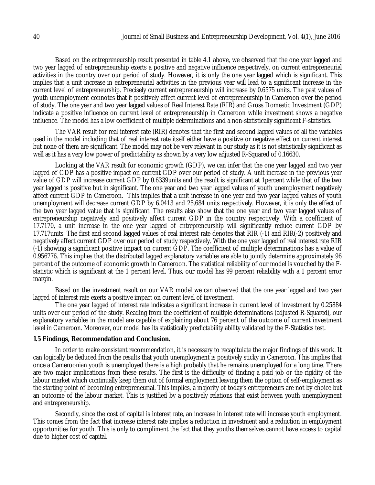Based on the entrepreneurship result presented in table 4.1 above, we observed that the one year lagged and two year lagged of entrepreneurship exerts a positive and negative influence respectively, on current entrepreneurial activities in the country over our period of study. However, it is only the one year lagged which is significant. This implies that a unit increase in entrepreneurial activities in the previous year will lead to a significant increase in the current level of entrepreneurship. Precisely current entrepreneurship will increase by 0.6575 units. The past values of youth unemployment connotes that it positively affect current level of entrepreneurship in Cameroon over the period of study. The one year and two year lagged values of Real Interest Rate (RIR) and Gross Domestic Investment (GDP) indicate a positive influence on current level of entrepreneurship in Cameroon while investment shows a negative influence. The model has a low coefficient of multiple determinations and a non-statistically significant F-statistics.

The VAR result for real interest rate (RIR) denotes that the first and second lagged values of all the variables used in the model including that of real interest rate itself either have a positive or negative effect on current interest but none of them are significant. The model may not be very relevant in our study as it is not statistically significant as well as it has a very low power of predictability as shown by a very low adjusted R-Squared of 0.16630.

Looking at the VAR result for economic growth (GDP), we can infer that the one year lagged and two year lagged of GDP has a positive impact on current GDP over our period of study. A unit increase in the previous year value of GDP will increase current GDP by 0.6339units and the result is significant at 1percent while that of the two year lagged is positive but in significant. The one year and two year lagged values of youth unemployment negatively affect current GDP in Cameroon. This implies that a unit increase in one year and two year lagged values of youth unemployment will decrease current GDP by 6.0413 and 25.684 units respectively. However, it is only the effect of the two year lagged value that is significant. The results also show that the one year and two year lagged values of entrepreneurship negatively and positively affect current GDP in the country respectively. With a coefficient of 17.7170, a unit increase in the one year lagged of entrepreneurship will significantly reduce current GDP by 17.717units. The first and second lagged values of real interest rate denotes that RIR (-1) and RIR(-2) positively and negatively affect current GDP over our period of study respectively. With the one year lagged of real interest rate RIR (-1) showing a significant positive impact on current GDP. The coefficient of multiple determinations has a value of 0.956776. This implies that the distributed lagged explanatory variables are able to jointly determine approximately 96 percent of the outcome of economic growth in Cameroon. The statistical reliability of our model is vouched by the Fstatistic which is significant at the 1 percent level. Thus, our model has 99 percent reliability with a 1 percent error margin.

Based on the investment result on our VAR model we can observed that the one year lagged and two year lagged of interest rate exerts a positive impact on current level of investment.

The one year lagged of interest rate indicates a significant increase in current level of investment by 0.25884 units over our period of the study. Reading from the coefficient of multiple determinations (adjusted R-Squared), our explanatory variables in the model are capable of explaining about 76 percent of the outcome of current investment level in Cameroon. Moreover, our model has its statistically predictability ability validated by the F-Statistics test.

### **1.5 Findings, Recommendation and Conclusion.**

In order to make consistent recommendation, it is necessary to recapitulate the major findings of this work. It can logically be deduced from the results that youth unemployment is positively sticky in Cameroon. This implies that once a Cameroonian youth is unemployed there is a high probably that he remains unemployed for a long time. There are two major implications from these results. The first is the difficulty of finding a paid job or the rigidity of the labour market which continually keep them out of formal employment leaving them the option of self-employment as the starting point of becoming entrepreneurial. This implies, a majority of today's entrepreneurs are not by choice but an outcome of the labour market. This is justified by a positively relations that exist between youth unemployment and entrepreneurship.

Secondly, since the cost of capital is interest rate, an increase in interest rate will increase youth employment. This comes from the fact that increase interest rate implies a reduction in investment and a reduction in employment opportunities for youth. This is only to compliment the fact that they youths themselves cannot have access to capital due to higher cost of capital.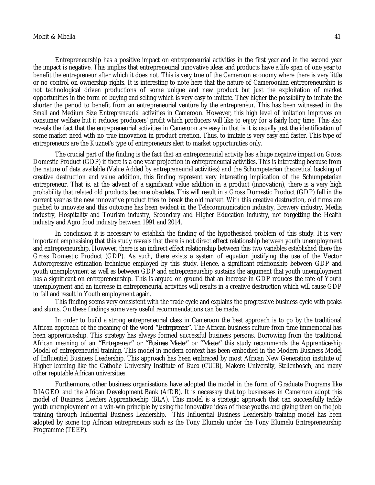Entrepreneurship has a positive impact on entrepreneurial activities in the first year and in the second year the impact is negative. This implies that entrepreneurial innovative ideas and products have a life span of one year to benefit the entrepreneur after which it does not. This is very true of the Cameroon economy where there is very little or no control on ownership rights. It is interesting to note here that the nature of Cameroonian entrepreneurship is not technological driven productions of some unique and new product but just the exploitation of market opportunities in the form of buying and selling which is very easy to imitate. They higher the possibility to imitate the shorter the period to benefit from an entrepreneurial venture by the entrepreneur. This has been witnessed in the Small and Medium Size Entrepreneurial activities in Cameroon. However, this high level of imitation improves on consumer welfare but it reduces producers' profit which producers will like to enjoy for a fairly long time. This also reveals the fact that the entrepreneurial activities in Cameroon are easy in that is it is usually just the identification of some market need with no true innovation in product creation. Thus, to imitate is very easy and faster. This type of entrepreneurs are the Kuznet's type of entrepreneurs alert to market opportunities only.

The crucial part of the finding is the fact that an entrepreneurial activity has a huge negative impact on Gross Domestic Product (GDP) if there is a one year projection in entrepreneurial activities. This is interesting because from the nature of data available (Value Added by entrepreneurial activities) and the Schumpeterian theoretical backing of creative destruction and value addition, this finding represent very interesting implication of the Schumpeterian entrepreneur. That is, at the advent of a significant value addition in a product (innovation), there is a very high probability that related old products become obsolete. This will result in a Gross Domestic Product (GDP) fall in the current year as the new innovative product tries to break the old market. With this creative destruction, old firms are pushed to innovate and this outcome has been evident in the Telecommunication industry, Brewery industry, Media industry, Hospitality and Tourism industry, Secondary and Higher Education industry, not forgetting the Health industry and Agro food industry between 1991 and 2014.

In conclusion it is necessary to establish the finding of the hypothesised problem of this study. It is very important emphasising that this study reveals that there is not direct effect relationship between youth unemployment and entrepreneurship. However, there is an indirect effect relationship between this two variables established there the Gross Domestic Product (GDP). As such, there exists a system of equation justifying the use of the Vector Autoregressive estimation technique employed by this study. Hence, a significant relationship between GDP and youth unemployment as well as between GDP and entrepreneurship sustains the argument that youth unemployment has a significant on entrepreneurship. This is argued on ground that an increase in GDP reduces the rate of Youth unemployment and an increase in entrepreneurial activities will results in a creative destruction which will cause GDP to fall and result in Youth employment again.

This finding seems very consistent with the trade cycle and explains the progressive business cycle with peaks and slums. On these findings some very useful recommendations can be made.

In order to build a strong entrepreneurial class in Cameroon the best approach is to go by the traditional African approach of the meaning of the word *"Entrepreneur".* The African business culture from time immemorial has been apprenticeship. This strategy has always formed successful business persons. Borrowing from the traditional African meaning of an *"Entrepreneur"* or *"Business Master"* or *"Master"* this study recommends the Apprenticeship Model of entrepreneurial training. This model in modern context has been embodied in the Modern Business Model of Influential Business Leadership. This approach has been embraced by most African New Generation institute of Higher learning like the Catholic University Institute of Buea (CUIB), Makere University, Stellenbosch, and many other reputable African universities.

Furthermore, other business organisations have adopted the model in the form of Graduate Programs like DIAGEO and the African Development Bank (AfDB). It is necessary that top businesses in Cameroon adopt this model of Business Leaders Apprenticeship (BLA). This model is a strategic approach that can successfully tackle youth unemployment on a win-win principle by using the innovative ideas of these youths and giving them on the job training through Influential Business Leadership. This Influential Business Leadership training model has been adopted by some top African entrepreneurs such as the Tony Elumelu under the Tony Elumelu Entrepreneurship Programme (TEEP).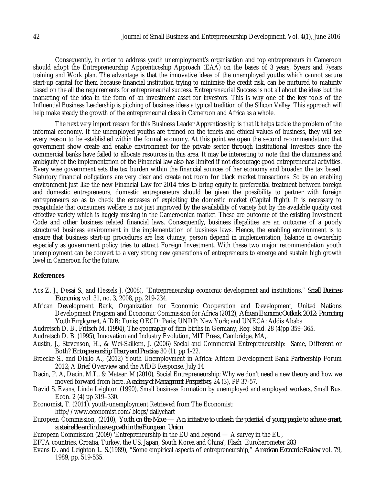Consequently, in order to address youth unemployment's organisation and top entrepreneurs in Cameroon should adopt the Entrepreneurship Apprenticeship Approach (EAA) on the bases of 3 years, 5years and 7years training and Work plan. The advantage is that the innovative ideas of the unemployed youths which cannot secure start-up capital for them because financial institution trying to minimise the credit risk, can be nurtured to maturity based on the all the requirements for entrepreneurial success. Entrepreneurial Success is not all about the ideas but the marketing of the idea in the form of an investment asset for investors. This is why one of the key tools of the Influential Business Leadership is pitching of business ideas a typical tradition of the Silicon Valley. This approach will help make steady the growth of the entrepreneurial class in Cameroon and Africa as a whole.

The next very import reason for this Business Leader Apprenticeship is that it helps tackle the problem of the informal economy. If the unemployed youths are trained on the tenets and ethical values of business, they will see every reason to be established within the formal economy. At this point we open the second recommendation: that government show create and enable environment for the private sector through Institutional Investors since the commercial banks have failed to allocate resources in this area. It may be interesting to note that the clumsiness and ambiguity of the implementation of the Financial law also has limited if not discourage good entrepreneurial activities. Every wise government sets the tax burden within the financial sources of her economy and broaden the tax based. Statutory financial obligations are very clear and create not room for black market transactions. So by an enabling environment just like the new Financial Law for 2014 tries to bring equity in preferential treatment between foreign and domestic entrepreneurs, domestic entrepreneurs should be given the possibility to partner with foreign entrepreneurs so as to check the excesses of exploiting the domestic market (Capital flight). It is necessary to recapitulate that consumers welfare is not just improved by the availability of variety but by the available quality cost effective variety which is hugely missing in the Cameroonian market. These are outcome of the existing Investment Code and other business related financial laws. Consequently, business illegalities are an outcome of a poorly structured business environment in the implementation of business laws. Hence, the enabling environment is to ensure that business start-up procedures are less clumsy, person depend in implementation, balance in ownership especially as government policy tries to attract Foreign Investment. With these two major recommendation youth unemployment can be convert to a very strong new generations of entrepreneurs to emerge and sustain high growth level in Cameroon for the future.

### **References**

- Acs Z. J., Desai S., and Hessels J. (2008), "Entrepreneurship economic development and institutions," *Small Business Economics*, vol. 31, no. 3, 2008, pp. 219-234.
- African Development Bank, Organization for Economic Cooperation and Development, United Nations Development Program and Economic Commission for Africa (2012), *African Economic Outlook 2012: Promoting Youth Employment*, AfDB: Tunis; OECD: Paris; UNDP: New York; and UNECA: Addis Ababa
- Audretsch D. B., Fritsch M. (1994), The geography of firm births in Germany, Reg. Stud. 28 (4)pp 359–365.
- Audretsch D. B. (1995), Innovation and Industry Evolution, MIT Press, Cambridge, MA,.
- Austin, J., Stevenson, H., & Wei-Skillern, J. (2006) Social and Commercial Entrepreneurship: Same, Different or Both? *Entrepreneurship Theory and Practice*, 30 (1), pp 1-22.
- Broecke S., and Diallo A., (2012) Youth Unemployment in Africa: African Development Bank Partnership Forum 2012; A Brief Overview and the AfDB Response, July 14
- Dacin, P. A, Dacin, M.T., & Matear, M (2010), Social Entrepreneurship; Why we don't need a new theory and how we moved forward from here*. Academy of Management Perspectives*, 24 (3), PP 37-57.
- David S. Evans, Linda Leighton (1990), Small business formation by unemployed and employed workers, Small Bus. Econ. 2 (4) pp 319–330.
- Economist, T. (2011). youth-unemployment Retrieved from The Economist: http://www.economist.com/blogs/dailychart
- European Commission, (2010), *Youth on the Move — An initiative to unleash the potential of young people to achieve smart, sustainable and inclusive growth in the European Union*.
- European Commission (2009) 'Entrepreneurship in the EU and beyond A survey in the EU,
- EFTA countries, Croatia, Turkey, the US, Japan, South Korea and China', Flash Eurobarometer 283
- Evans D. and Leighton L. S.(1989), "Some empirical aspects of entrepreneurship," *American Economic Review*, vol. 79, 1989, pp. 519-535.